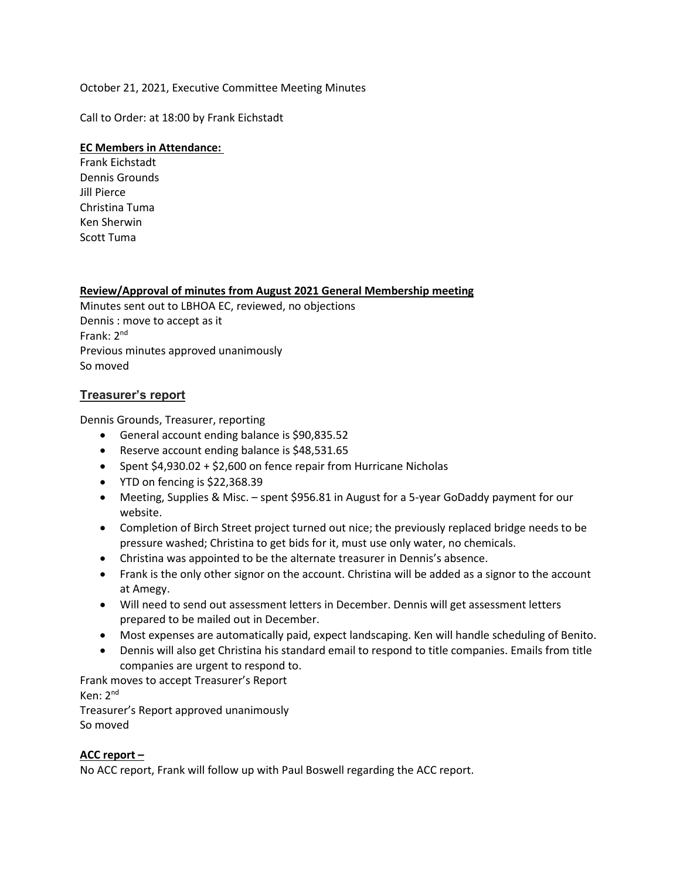# October 21, 2021, Executive Committee Meeting Minutes

Call to Order: at 18:00 by Frank Eichstadt

## **EC Members in Attendance:**

Frank Eichstadt Dennis Grounds Jill Pierce Christina Tuma Ken Sherwin Scott Tuma

# **Review/Approval of minutes from August 2021 General Membership meeting**

Minutes sent out to LBHOA EC, reviewed, no objections Dennis : move to accept as it Frank: 2nd Previous minutes approved unanimously So moved

# **Treasurer's report**

Dennis Grounds, Treasurer, reporting

- General account ending balance is \$90,835.52
- Reserve account ending balance is \$48,531.65
- Spent \$4,930.02 + \$2,600 on fence repair from Hurricane Nicholas
- YTD on fencing is \$22,368.39
- Meeting, Supplies & Misc. spent \$956.81 in August for a 5-year GoDaddy payment for our website.
- Completion of Birch Street project turned out nice; the previously replaced bridge needs to be pressure washed; Christina to get bids for it, must use only water, no chemicals.
- Christina was appointed to be the alternate treasurer in Dennis's absence.
- Frank is the only other signor on the account. Christina will be added as a signor to the account at Amegy.
- Will need to send out assessment letters in December. Dennis will get assessment letters prepared to be mailed out in December.
- Most expenses are automatically paid, expect landscaping. Ken will handle scheduling of Benito.
- Dennis will also get Christina his standard email to respond to title companies. Emails from title companies are urgent to respond to.

Frank moves to accept Treasurer's Report Ken: 2nd Treasurer's Report approved unanimously So moved

### **ACC report –**

No ACC report, Frank will follow up with Paul Boswell regarding the ACC report.